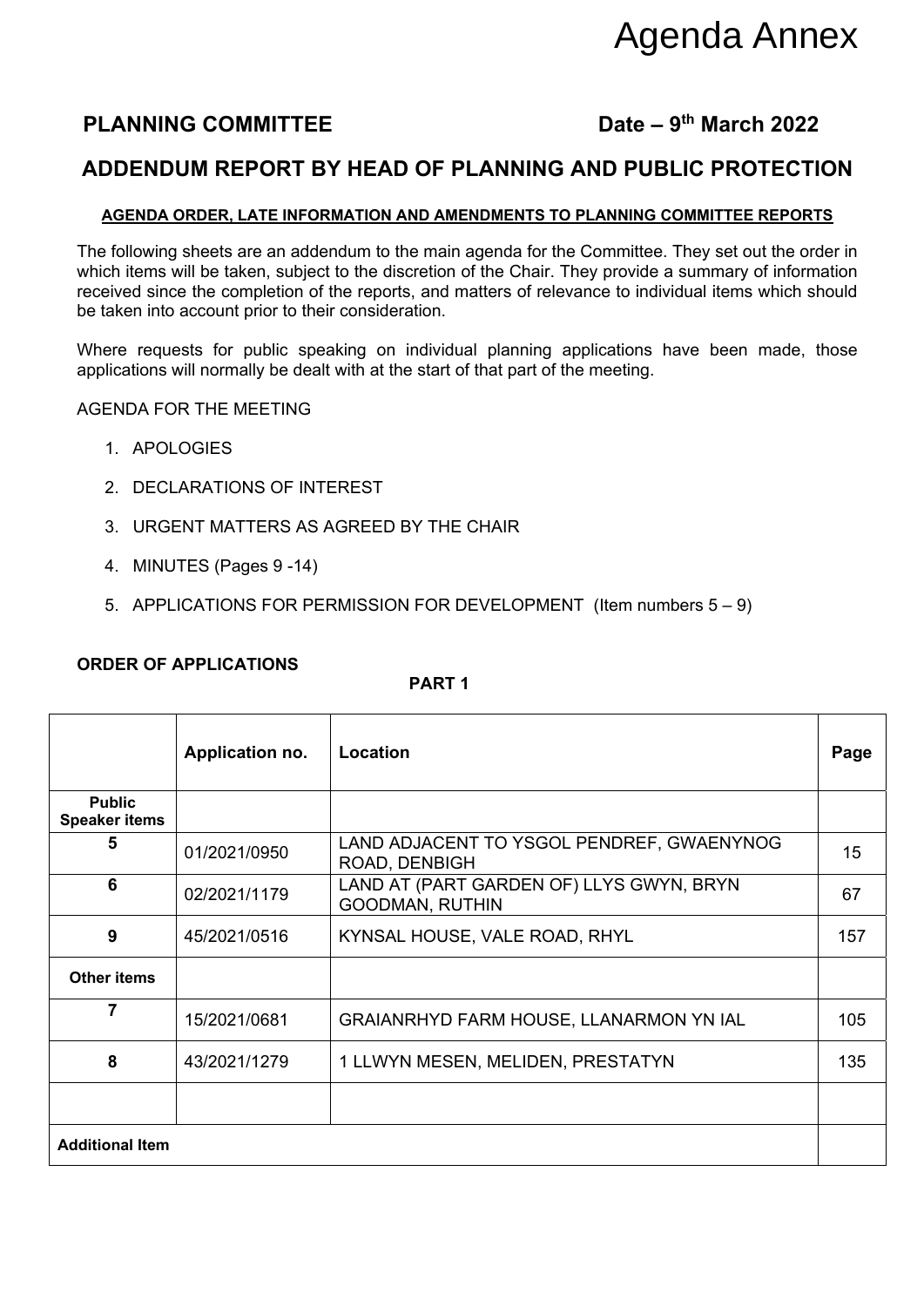# Agenda Annex

### **PLANNING COMMITTEE** Date – 9<sup>th</sup> March 2022

#### **ADDENDUM REPORT BY HEAD OF PLANNING AND PUBLIC PROTECTION**

#### **AGENDA ORDER, LATE INFORMATION AND AMENDMENTS TO PLANNING COMMITTEE REPORTS**

The following sheets are an addendum to the main agenda for the Committee. They set out the order in which items will be taken, subject to the discretion of the Chair. They provide a summary of information received since the completion of the reports, and matters of relevance to individual items which should be taken into account prior to their consideration.

Where requests for public speaking on individual planning applications have been made, those applications will normally be dealt with at the start of that part of the meeting.

AGENDA FOR THE MEETING

- 1. APOLOGIES
- 2. DECLARATIONS OF INTEREST
- 3. URGENT MATTERS AS AGREED BY THE CHAIR
- 4. MINUTES (Pages 9 -14)
- 5. APPLICATIONS FOR PERMISSION FOR DEVELOPMENT (Item numbers 5 9)

**PART 1** 

|                                       | Application no. | Location                                                           | Page |
|---------------------------------------|-----------------|--------------------------------------------------------------------|------|
| <b>Public</b><br><b>Speaker items</b> |                 |                                                                    |      |
| 5                                     | 01/2021/0950    | LAND ADJACENT TO YSGOL PENDREF, GWAENYNOG<br>ROAD, DENBIGH         | 15   |
| 6                                     | 02/2021/1179    | LAND AT (PART GARDEN OF) LLYS GWYN, BRYN<br><b>GOODMAN, RUTHIN</b> | 67   |
| 9                                     | 45/2021/0516    | KYNSAL HOUSE, VALE ROAD, RHYL                                      | 157  |
| <b>Other items</b>                    |                 |                                                                    |      |
| 7                                     | 15/2021/0681    | GRAIANRHYD FARM HOUSE, LLANARMON YN IAL                            | 105  |
| 8                                     | 43/2021/1279    | 1 LLWYN MESEN, MELIDEN, PRESTATYN                                  | 135  |
|                                       |                 |                                                                    |      |
| <b>Additional Item</b>                |                 |                                                                    |      |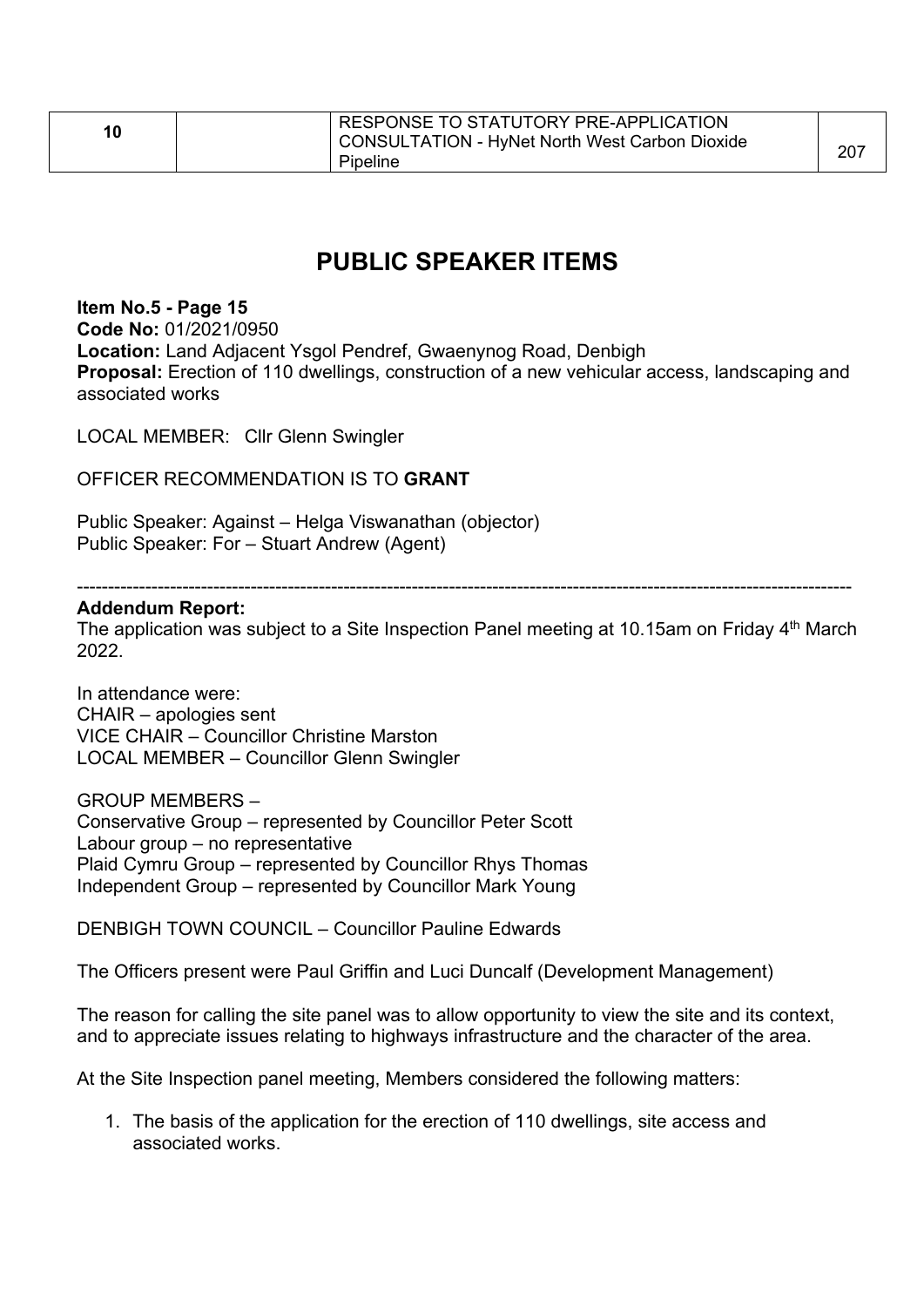| 10 | RESPONSE TO STATUTORY PRE-APPLICATION<br>  CONSULTATION - HyNet North West Carbon Dioxide<br>Pipeline | 207 |
|----|-------------------------------------------------------------------------------------------------------|-----|
|----|-------------------------------------------------------------------------------------------------------|-----|

### **PUBLIC SPEAKER ITEMS**

#### **Item No.5 - Page 15**

**Code No:** 01/2021/0950 **Location:** Land Adjacent Ysgol Pendref, Gwaenynog Road, Denbigh **Proposal:** Erection of 110 dwellings, construction of a new vehicular access, landscaping and associated works

LOCAL MEMBER: Cllr Glenn Swingler

OFFICER RECOMMENDATION IS TO **GRANT** 

Public Speaker: Against – Helga Viswanathan (objector) Public Speaker: For – Stuart Andrew (Agent)

-----------------------------------------------------------------------------------------------------------------------------

#### **Addendum Report:**

The application was subject to a Site Inspection Panel meeting at 10.15am on Friday  $4<sup>th</sup>$  March 2022.

In attendance were: CHAIR – apologies sent VICE CHAIR – Councillor Christine Marston LOCAL MEMBER – Councillor Glenn Swingler

GROUP MEMBERS –

Conservative Group – represented by Councillor Peter Scott Labour group – no representative Plaid Cymru Group – represented by Councillor Rhys Thomas Independent Group – represented by Councillor Mark Young

DENBIGH TOWN COUNCIL – Councillor Pauline Edwards

The Officers present were Paul Griffin and Luci Duncalf (Development Management)

The reason for calling the site panel was to allow opportunity to view the site and its context, and to appreciate issues relating to highways infrastructure and the character of the area.

At the Site Inspection panel meeting, Members considered the following matters:

1. The basis of the application for the erection of 110 dwellings, site access and associated works.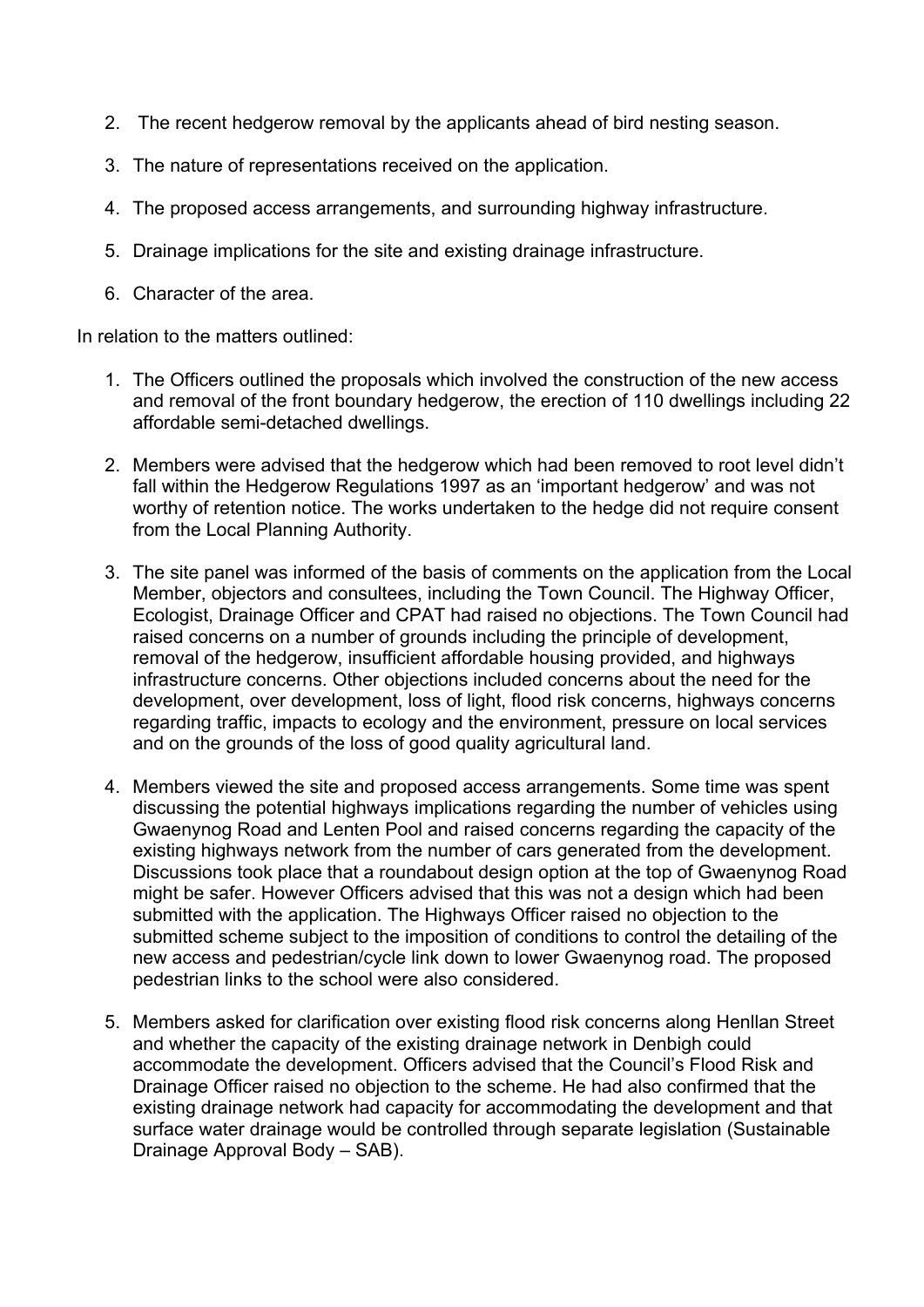- 2. The recent hedgerow removal by the applicants ahead of bird nesting season.
- 3. The nature of representations received on the application.
- 4. The proposed access arrangements, and surrounding highway infrastructure.
- 5. Drainage implications for the site and existing drainage infrastructure.
- 6. Character of the area.

In relation to the matters outlined:

- 1. The Officers outlined the proposals which involved the construction of the new access and removal of the front boundary hedgerow, the erection of 110 dwellings including 22 affordable semi-detached dwellings.
- 2. Members were advised that the hedgerow which had been removed to root level didn't fall within the Hedgerow Regulations 1997 as an 'important hedgerow' and was not worthy of retention notice. The works undertaken to the hedge did not require consent from the Local Planning Authority.
- 3. The site panel was informed of the basis of comments on the application from the Local Member, objectors and consultees, including the Town Council. The Highway Officer, Ecologist, Drainage Officer and CPAT had raised no objections. The Town Council had raised concerns on a number of grounds including the principle of development, removal of the hedgerow, insufficient affordable housing provided, and highways infrastructure concerns. Other objections included concerns about the need for the development, over development, loss of light, flood risk concerns, highways concerns regarding traffic, impacts to ecology and the environment, pressure on local services and on the grounds of the loss of good quality agricultural land.
- 4. Members viewed the site and proposed access arrangements. Some time was spent discussing the potential highways implications regarding the number of vehicles using Gwaenynog Road and Lenten Pool and raised concerns regarding the capacity of the existing highways network from the number of cars generated from the development. Discussions took place that a roundabout design option at the top of Gwaenynog Road might be safer. However Officers advised that this was not a design which had been submitted with the application. The Highways Officer raised no objection to the submitted scheme subject to the imposition of conditions to control the detailing of the new access and pedestrian/cycle link down to lower Gwaenynog road. The proposed pedestrian links to the school were also considered.
- 5. Members asked for clarification over existing flood risk concerns along Henllan Street and whether the capacity of the existing drainage network in Denbigh could accommodate the development. Officers advised that the Council's Flood Risk and Drainage Officer raised no objection to the scheme. He had also confirmed that the existing drainage network had capacity for accommodating the development and that surface water drainage would be controlled through separate legislation (Sustainable Drainage Approval Body – SAB).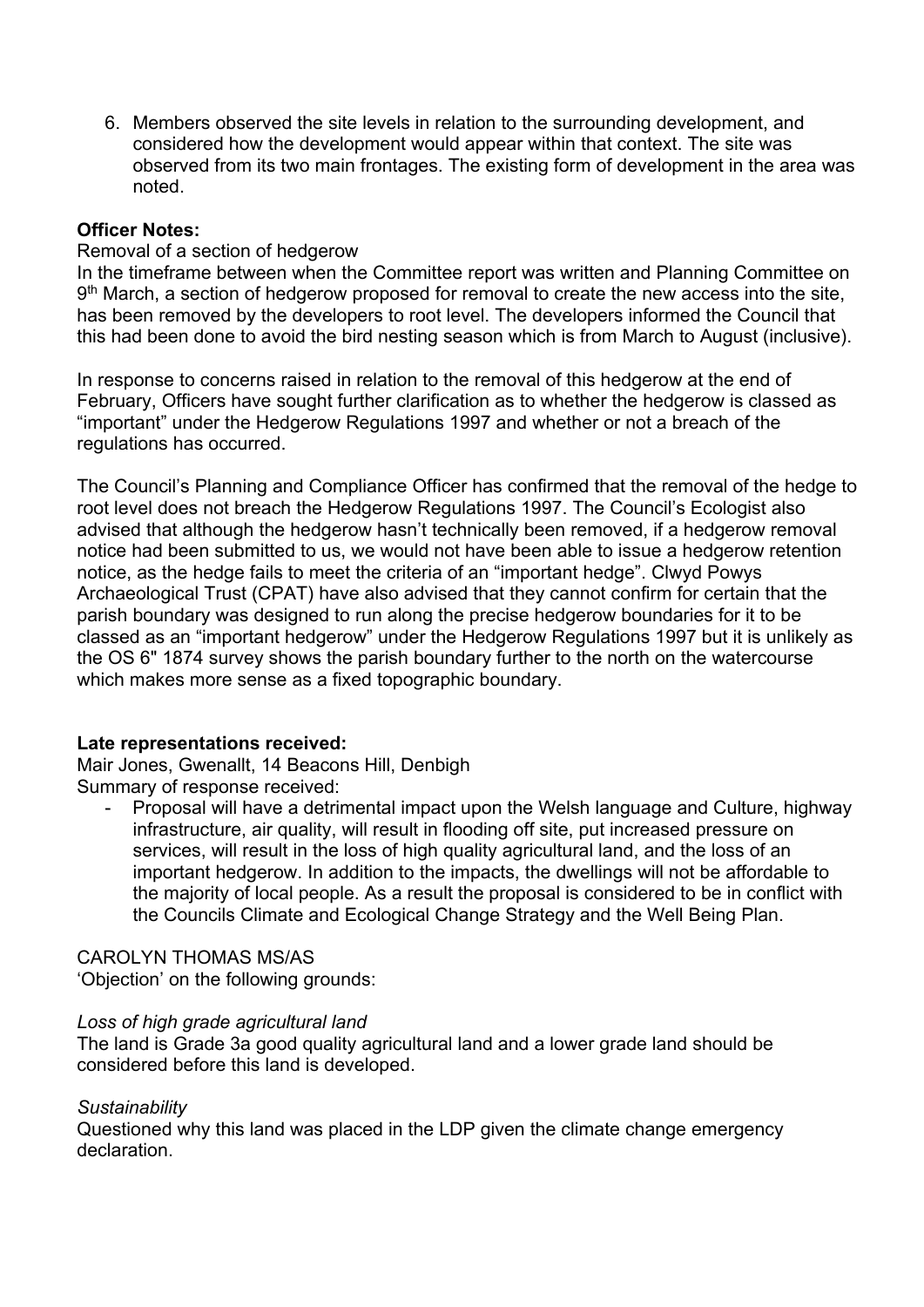6. Members observed the site levels in relation to the surrounding development, and considered how the development would appear within that context. The site was observed from its two main frontages. The existing form of development in the area was noted.

#### **Officer Notes:**

#### Removal of a section of hedgerow

In the timeframe between when the Committee report was written and Planning Committee on  $9<sup>th</sup>$  March, a section of hedgerow proposed for removal to create the new access into the site, has been removed by the developers to root level. The developers informed the Council that this had been done to avoid the bird nesting season which is from March to August (inclusive).

In response to concerns raised in relation to the removal of this hedgerow at the end of February, Officers have sought further clarification as to whether the hedgerow is classed as "important" under the Hedgerow Regulations 1997 and whether or not a breach of the regulations has occurred.

The Council's Planning and Compliance Officer has confirmed that the removal of the hedge to root level does not breach the Hedgerow Regulations 1997. The Council's Ecologist also advised that although the hedgerow hasn't technically been removed, if a hedgerow removal notice had been submitted to us, we would not have been able to issue a hedgerow retention notice, as the hedge fails to meet the criteria of an "important hedge". Clwyd Powys Archaeological Trust (CPAT) have also advised that they cannot confirm for certain that the parish boundary was designed to run along the precise hedgerow boundaries for it to be classed as an "important hedgerow" under the Hedgerow Regulations 1997 but it is unlikely as the OS 6" 1874 survey shows the parish boundary further to the north on the watercourse which makes more sense as a fixed topographic boundary.

#### **Late representations received:**

Mair Jones, Gwenallt, 14 Beacons Hill, Denbigh Summary of response received:

- Proposal will have a detrimental impact upon the Welsh language and Culture, highway infrastructure, air quality, will result in flooding off site, put increased pressure on services, will result in the loss of high quality agricultural land, and the loss of an important hedgerow. In addition to the impacts, the dwellings will not be affordable to the majority of local people. As a result the proposal is considered to be in conflict with the Councils Climate and Ecological Change Strategy and the Well Being Plan.

#### CAROLYN THOMAS MS/AS

'Objection' on the following grounds:

#### *Loss of high grade agricultural land*

The land is Grade 3a good quality agricultural land and a lower grade land should be considered before this land is developed.

#### *Sustainability*

Questioned why this land was placed in the LDP given the climate change emergency declaration.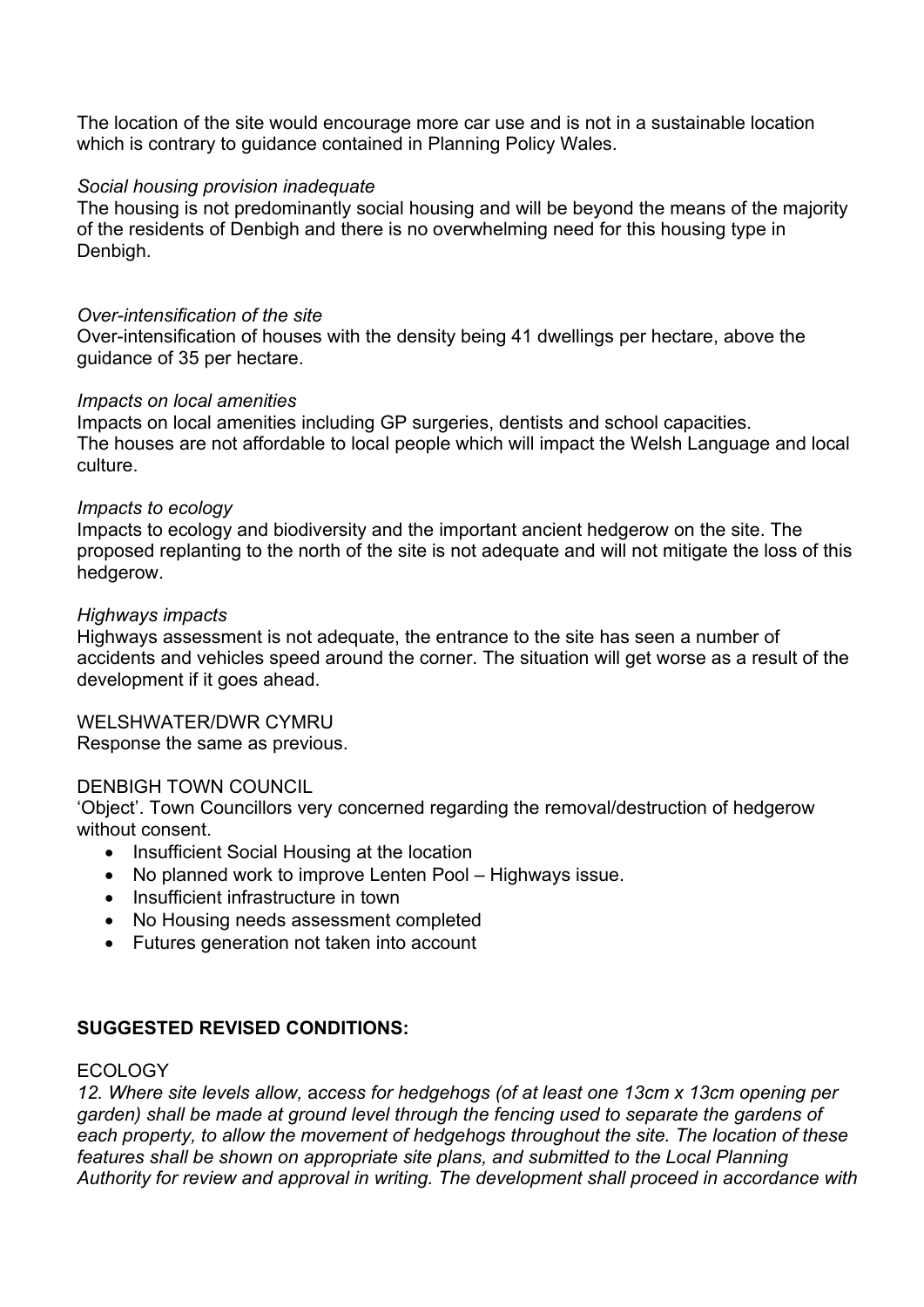The location of the site would encourage more car use and is not in a sustainable location which is contrary to guidance contained in Planning Policy Wales.

#### *Social housing provision inadequate*

The housing is not predominantly social housing and will be beyond the means of the majority of the residents of Denbigh and there is no overwhelming need for this housing type in Denbigh.

#### *Over-intensification of the site*

Over-intensification of houses with the density being 41 dwellings per hectare, above the guidance of 35 per hectare.

#### *Impacts on local amenities*

Impacts on local amenities including GP surgeries, dentists and school capacities. The houses are not affordable to local people which will impact the Welsh Language and local culture.

#### *Impacts to ecology*

Impacts to ecology and biodiversity and the important ancient hedgerow on the site. The proposed replanting to the north of the site is not adequate and will not mitigate the loss of this hedgerow.

#### *Highways impacts*

Highways assessment is not adequate, the entrance to the site has seen a number of accidents and vehicles speed around the corner. The situation will get worse as a result of the development if it goes ahead.

#### WELSHWATER/DWR CYMRU

Response the same as previous.

#### DENBIGH TOWN COUNCIL

'Object'. Town Councillors very concerned regarding the removal/destruction of hedgerow without consent.

- Insufficient Social Housing at the location
- No planned work to improve Lenten Pool Highways issue.
- Insufficient infrastructure in town
- No Housing needs assessment completed
- Futures generation not taken into account

#### **SUGGESTED REVISED CONDITIONS:**

#### ECOLOGY

*12. Where site levels allow,* a*ccess for hedgehogs (of at least one 13cm x 13cm opening per garden) shall be made at ground level through the fencing used to separate the gardens of each property, to allow the movement of hedgehogs throughout the site. The location of these features shall be shown on appropriate site plans, and submitted to the Local Planning Authority for review and approval in writing. The development shall proceed in accordance with*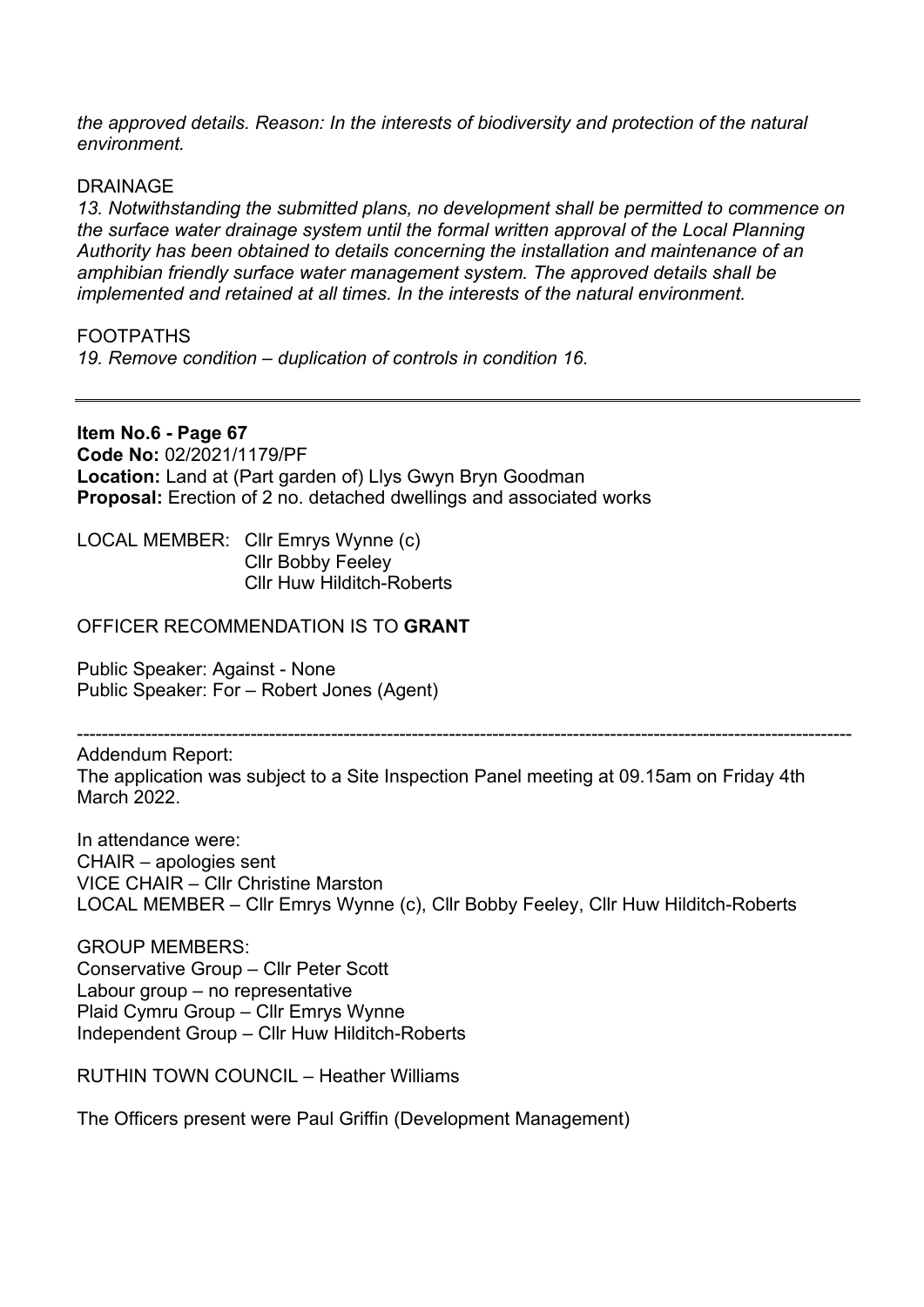*the approved details. Reason: In the interests of biodiversity and protection of the natural environment.* 

#### DRAINAGE

*13. Notwithstanding the submitted plans, no development shall be permitted to commence on the surface water drainage system until the formal written approval of the Local Planning Authority has been obtained to details concerning the installation and maintenance of an amphibian friendly surface water management system. The approved details shall be implemented and retained at all times. In the interests of the natural environment.* 

#### FOOTPATHS

*19. Remove condition – duplication of controls in condition 16.* 

#### **Item No.6 - Page 67**

**Code No:** 02/2021/1179/PF **Location:** Land at (Part garden of) Llys Gwyn Bryn Goodman **Proposal:** Erection of 2 no. detached dwellings and associated works

LOCAL MEMBER: Cllr Emrys Wynne (c) Cllr Bobby Feeley Cllr Huw Hilditch-Roberts

#### OFFICER RECOMMENDATION IS TO **GRANT**

Public Speaker: Against - None Public Speaker: For – Robert Jones (Agent)

----------------------------------------------------------------------------------------------------------------------------- Addendum Report:

The application was subject to a Site Inspection Panel meeting at 09.15am on Friday 4th March 2022.

In attendance were: CHAIR – apologies sent VICE CHAIR – Cllr Christine Marston LOCAL MEMBER – Cllr Emrys Wynne (c), Cllr Bobby Feeley, Cllr Huw Hilditch-Roberts

GROUP MEMBERS: Conservative Group – Cllr Peter Scott Labour group – no representative Plaid Cymru Group – Cllr Emrys Wynne Independent Group – Cllr Huw Hilditch-Roberts

RUTHIN TOWN COUNCIL – Heather Williams

The Officers present were Paul Griffin (Development Management)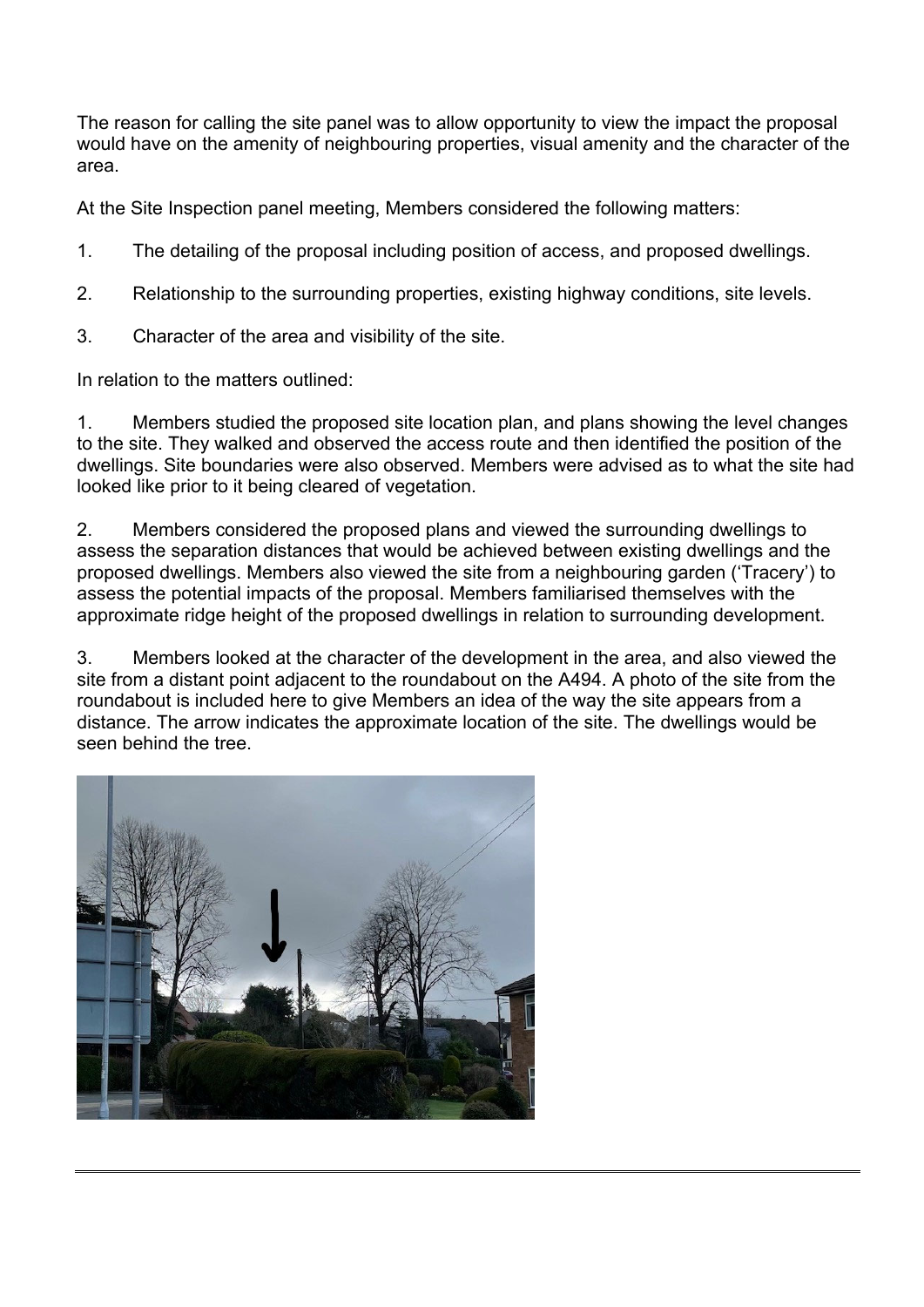The reason for calling the site panel was to allow opportunity to view the impact the proposal would have on the amenity of neighbouring properties, visual amenity and the character of the area.

At the Site Inspection panel meeting, Members considered the following matters:

- 1. The detailing of the proposal including position of access, and proposed dwellings.
- 2. Relationship to the surrounding properties, existing highway conditions, site levels.
- 3. Character of the area and visibility of the site.

In relation to the matters outlined:

1. Members studied the proposed site location plan, and plans showing the level changes to the site. They walked and observed the access route and then identified the position of the dwellings. Site boundaries were also observed. Members were advised as to what the site had looked like prior to it being cleared of vegetation.

2. Members considered the proposed plans and viewed the surrounding dwellings to assess the separation distances that would be achieved between existing dwellings and the proposed dwellings. Members also viewed the site from a neighbouring garden ('Tracery') to assess the potential impacts of the proposal. Members familiarised themselves with the approximate ridge height of the proposed dwellings in relation to surrounding development.

3. Members looked at the character of the development in the area, and also viewed the site from a distant point adiacent to the roundabout on the A494. A photo of the site from the roundabout is included here to give Members an idea of the way the site appears from a distance. The arrow indicates the approximate location of the site. The dwellings would be seen behind the tree.

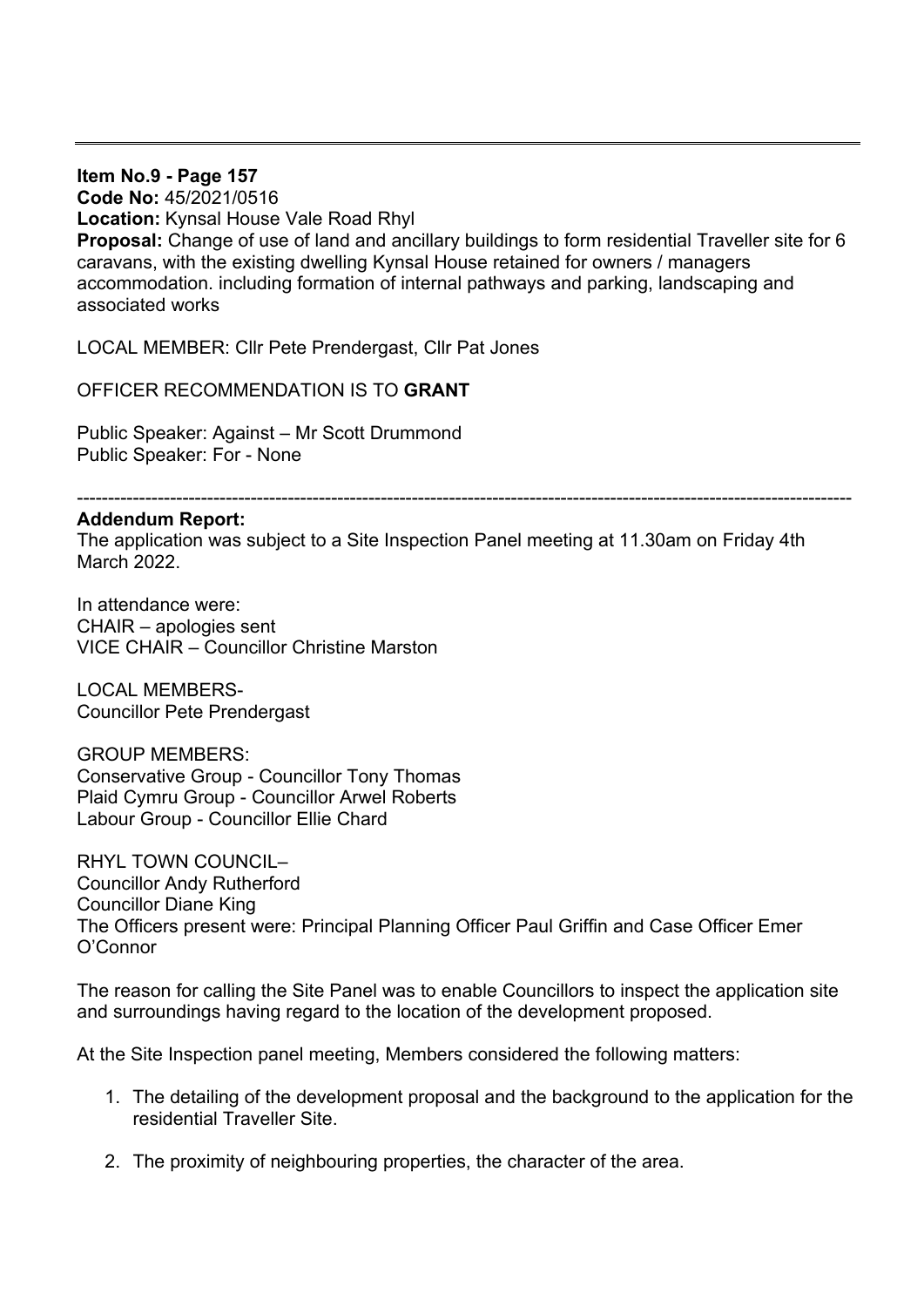**Item No.9 - Page 157 Code No:** 45/2021/0516 **Location:** Kynsal House Vale Road Rhyl **Proposal:** Change of use of land and ancillary buildings to form residential Traveller site for 6 caravans, with the existing dwelling Kynsal House retained for owners / managers accommodation. including formation of internal pathways and parking, landscaping and associated works

LOCAL MEMBER: Cllr Pete Prendergast, Cllr Pat Jones

OFFICER RECOMMENDATION IS TO **GRANT**

Public Speaker: Against – Mr Scott Drummond Public Speaker: For - None

-----------------------------------------------------------------------------------------------------------------------------

#### **Addendum Report:**

The application was subject to a Site Inspection Panel meeting at 11.30am on Friday 4th March 2022.

In attendance were: CHAIR – apologies sent VICE CHAIR – Councillor Christine Marston

LOCAL MEMBERS-Councillor Pete Prendergast

GROUP MEMBERS: Conservative Group - Councillor Tony Thomas Plaid Cymru Group - Councillor Arwel Roberts Labour Group - Councillor Ellie Chard

RHYL TOWN COUNCIL– Councillor Andy Rutherford Councillor Diane King The Officers present were: Principal Planning Officer Paul Griffin and Case Officer Emer O'Connor

The reason for calling the Site Panel was to enable Councillors to inspect the application site and surroundings having regard to the location of the development proposed.

At the Site Inspection panel meeting, Members considered the following matters:

- 1. The detailing of the development proposal and the background to the application for the residential Traveller Site.
- 2. The proximity of neighbouring properties, the character of the area.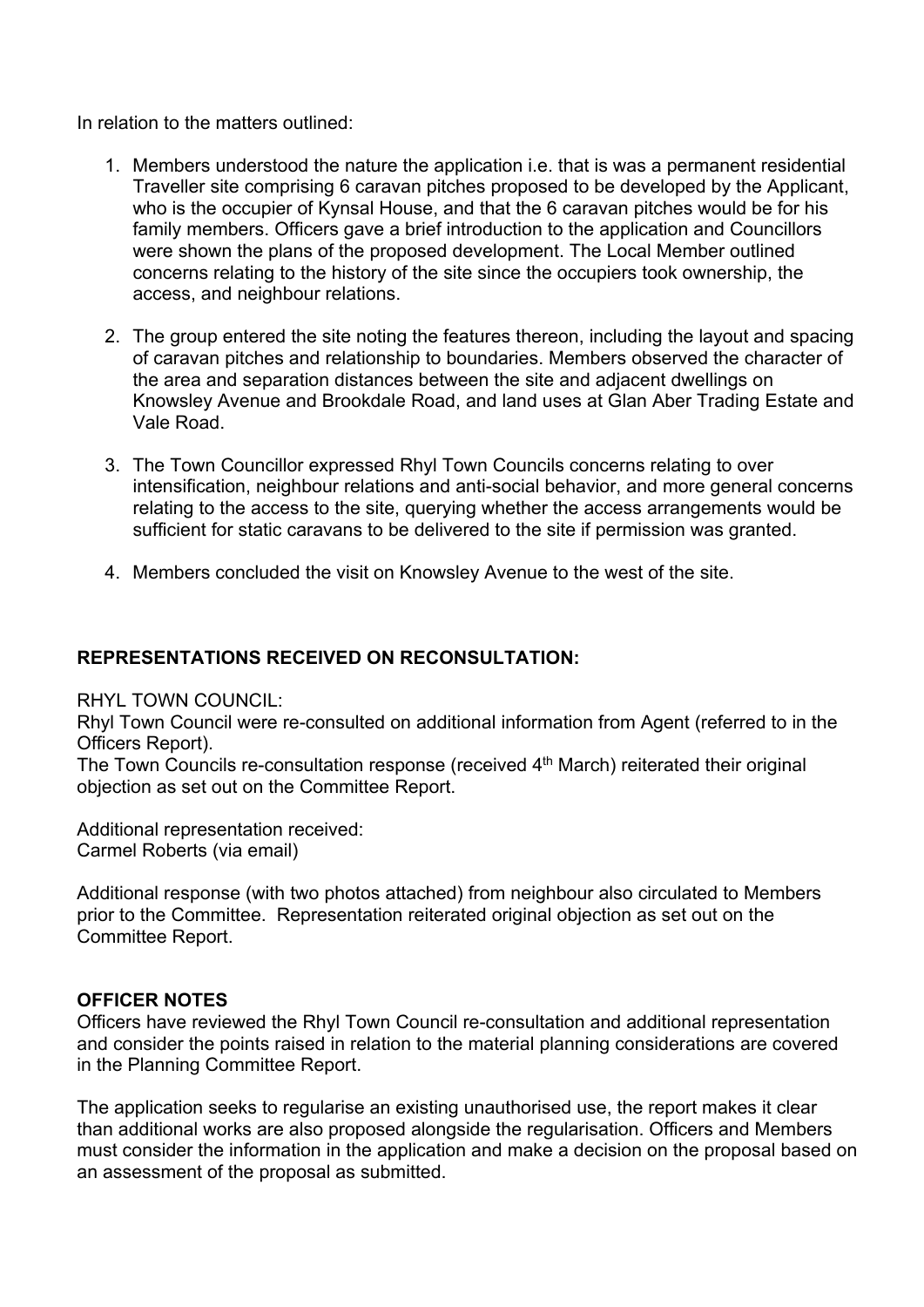In relation to the matters outlined:

- 1. Members understood the nature the application i.e. that is was a permanent residential Traveller site comprising 6 caravan pitches proposed to be developed by the Applicant, who is the occupier of Kynsal House, and that the 6 caravan pitches would be for his family members. Officers gave a brief introduction to the application and Councillors were shown the plans of the proposed development. The Local Member outlined concerns relating to the history of the site since the occupiers took ownership, the access, and neighbour relations.
- 2. The group entered the site noting the features thereon, including the layout and spacing of caravan pitches and relationship to boundaries. Members observed the character of the area and separation distances between the site and adjacent dwellings on Knowsley Avenue and Brookdale Road, and land uses at Glan Aber Trading Estate and Vale Road.
- 3. The Town Councillor expressed Rhyl Town Councils concerns relating to over intensification, neighbour relations and anti-social behavior, and more general concerns relating to the access to the site, querying whether the access arrangements would be sufficient for static caravans to be delivered to the site if permission was granted.
- 4. Members concluded the visit on Knowsley Avenue to the west of the site.

#### **REPRESENTATIONS RECEIVED ON RECONSULTATION:**

RHYL TOWN COUNCIL:

Rhyl Town Council were re-consulted on additional information from Agent (referred to in the Officers Report).

The Town Councils re-consultation response (received 4<sup>th</sup> March) reiterated their original objection as set out on the Committee Report.

Additional representation received: Carmel Roberts (via email)

Additional response (with two photos attached) from neighbour also circulated to Members prior to the Committee. Representation reiterated original objection as set out on the Committee Report.

#### **OFFICER NOTES**

Officers have reviewed the Rhyl Town Council re-consultation and additional representation and consider the points raised in relation to the material planning considerations are covered in the Planning Committee Report.

The application seeks to regularise an existing unauthorised use, the report makes it clear than additional works are also proposed alongside the regularisation. Officers and Members must consider the information in the application and make a decision on the proposal based on an assessment of the proposal as submitted.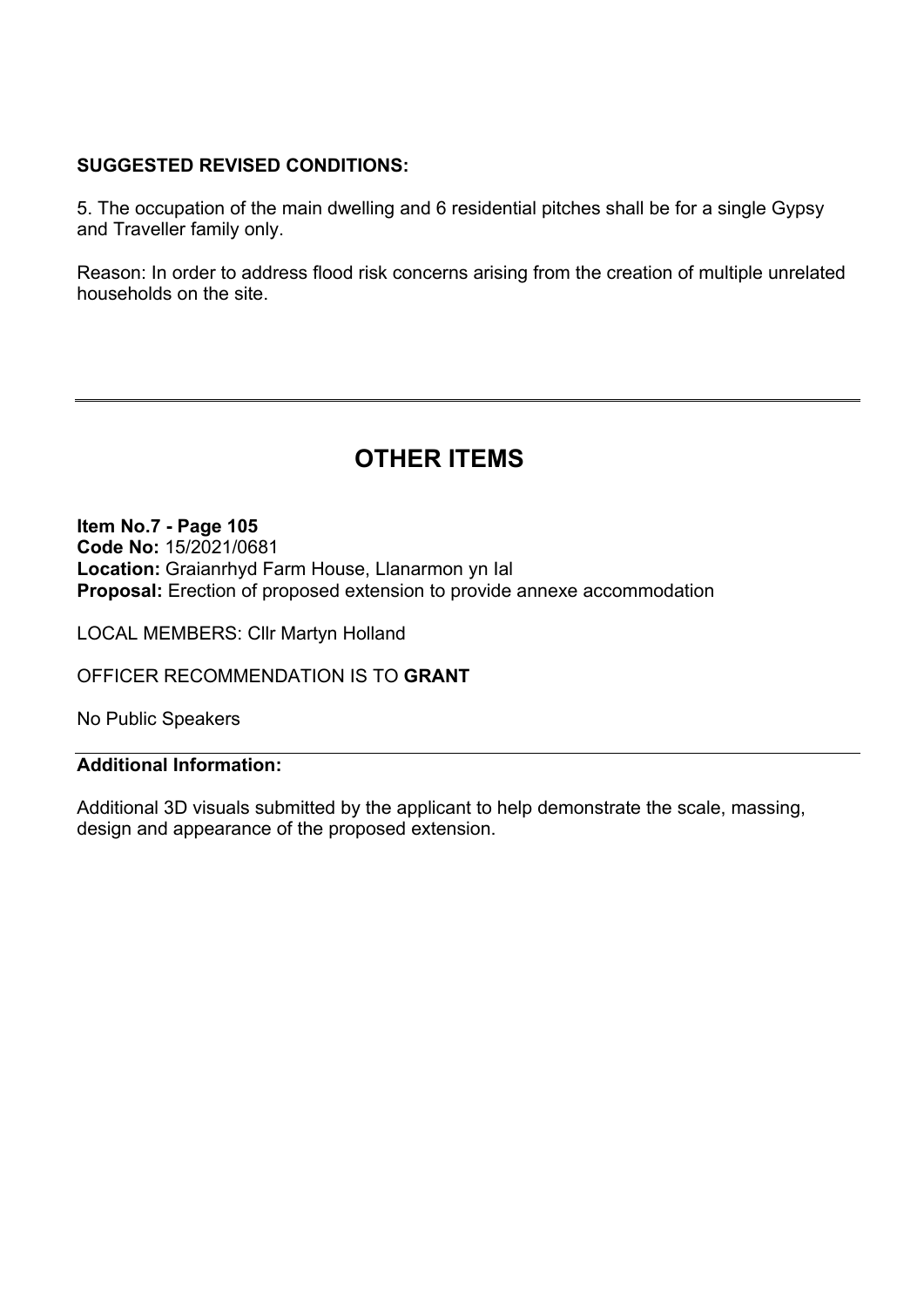#### **SUGGESTED REVISED CONDITIONS:**

5. The occupation of the main dwelling and 6 residential pitches shall be for a single Gypsy and Traveller family only.

Reason: In order to address flood risk concerns arising from the creation of multiple unrelated households on the site.

## **OTHER ITEMS**

**Item No.7 - Page 105 Code No:** 15/2021/0681 **Location:** Graianrhyd Farm House, Llanarmon yn Ial **Proposal:** Erection of proposed extension to provide annexe accommodation

LOCAL MEMBERS: Cllr Martyn Holland

OFFICER RECOMMENDATION IS TO **GRANT** 

No Public Speakers

#### **Additional Information:**

Additional 3D visuals submitted by the applicant to help demonstrate the scale, massing, design and appearance of the proposed extension.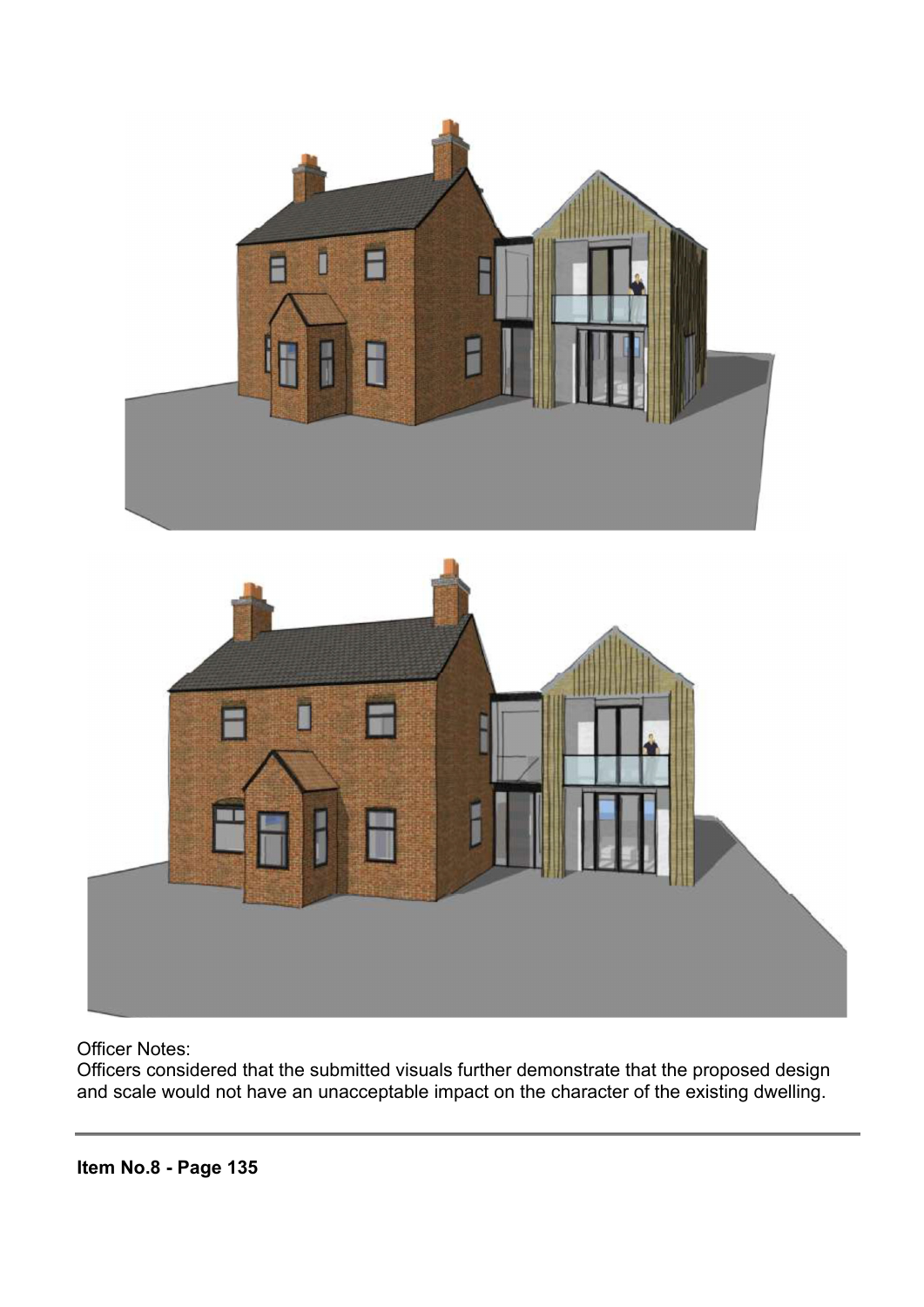

Officer Notes:

Officers considered that the submitted visuals further demonstrate that the proposed design and scale would not have an unacceptable impact on the character of the existing dwelling.

**Item No.8 - Page 135**